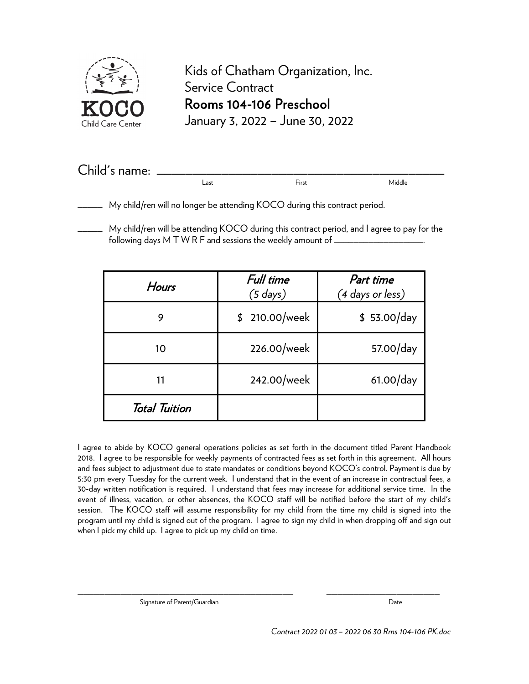

Kids of Chatham Organization, Inc. Service Contract Rooms 104-106 Preschool January 3, 2022 – June 30, 2022

| Child's name: |      |       |        |
|---------------|------|-------|--------|
|               | ∟ast | First | Middle |

My child/ren will no longer be attending KOCO during this contract period.

\_\_\_\_\_ My child/ren will be attending KOCO during this contract period, and I agree to pay for the following days M T W R F and sessions the weekly amount of \_\_\_\_\_\_\_\_\_\_\_\_\_\_\_\_\_\_\_\_\_

| Hours                | Full time<br>$(5$ days) | Part time<br>(4 days or less) |  |
|----------------------|-------------------------|-------------------------------|--|
| 9                    | \$ 210.00/week          | \$53.00/day                   |  |
| 10                   | 226.00/week             | 57.00/day                     |  |
|                      | 242.00/week             | $61.00$ /day                  |  |
| <b>Total Tuition</b> |                         |                               |  |

I agree to abide by KOCO general operations policies as set forth in the document titled Parent Handbook 2018. I agree to be responsible for weekly payments of contracted fees as set forth in this agreement. All hours and fees subject to adjustment due to state mandates or conditions beyond KOCO's control. Payment is due by 5:30 pm every Tuesday for the current week. I understand that in the event of an increase in contractual fees, a 30-day written notification is required. I understand that fees may increase for additional service time. In the event of illness, vacation, or other absences, the KOCO staff will be notified before the start of my child's session. The KOCO staff will assume responsibility for my child from the time my child is signed into the program until my child is signed out of the program. I agree to sign my child in when dropping off and sign out when I pick my child up. I agree to pick up my child on time.

Signature of Parent/Guardian Date Controller and Date Date Date

\_\_\_\_\_\_\_\_\_\_\_\_\_\_\_\_\_\_\_\_\_\_\_\_\_\_\_\_\_\_\_\_\_\_\_\_\_\_\_\_ \_\_\_\_\_\_\_\_\_\_\_\_\_\_\_\_\_\_\_\_\_